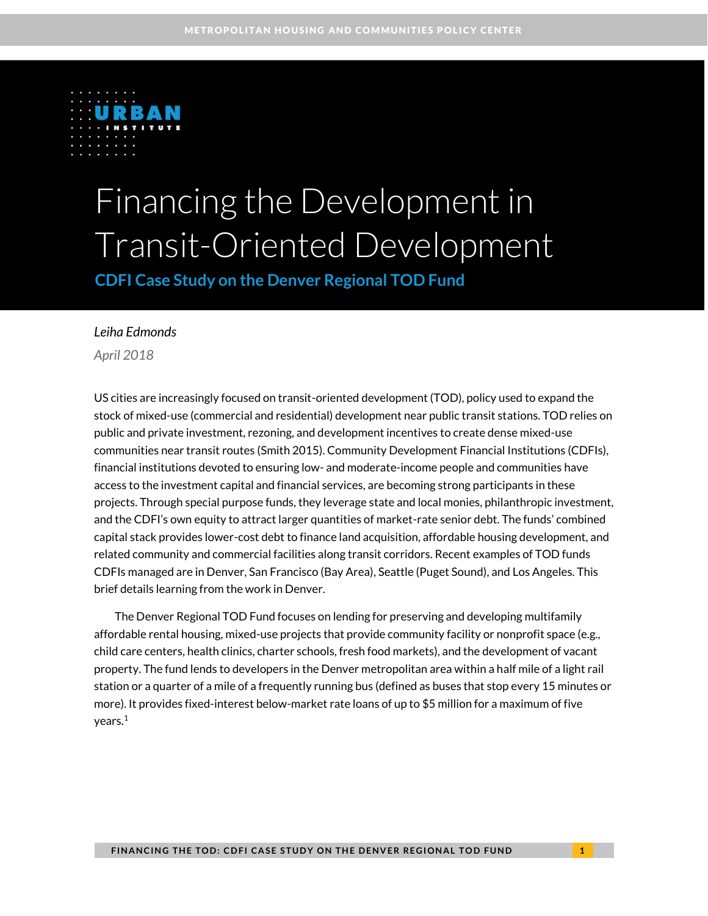

# Financing the Development in Transit-Oriented Development

**CDFI Case Study on the Denver Regional TOD Fund**

#### *Leiha Edmonds*

*April 2018*

US cities are increasingly focused on transit-oriented development (TOD), policy used to expand the stock of mixed-use (commercial and residential) development near public transit stations. TOD relies on public and private investment, rezoning, and development incentives to create dense mixed-use communities near transit routes (Smith 2015). Community Development Financial Institutions (CDFIs), financial institutions devoted to ensuring low- and moderate-income people and communities have access to the investment capital and financial services, are becoming strong participants in these projects. Through special purpose funds, they leverage state and local monies, philanthropic investment, and the CDFI's own equity to attract larger quantities of market-rate senior debt. The funds' combined capital stack provides lower-cost debt to finance land acquisition, affordable housing development, and related community and commercial facilities along transit corridors. Recent examples of TOD funds CDFIs managed are in Denver, San Francisco (Bay Area), Seattle (Puget Sound), and Los Angeles. This brief details learning from the work in Denver.

The Denver Regional TOD Fund focuses on lending for preserving and developing multifamily affordable rental housing, mixed-use projects that provide community facility or nonprofit space (e.g., child care centers, health clinics, charter schools, fresh food markets), and the development of vacant property. The fund lends to developers in the Denver metropolitan area within a half mile of a light rail station or a quarter of a mile of a frequently running bus (defined as buses that stop every 15 minutes or more). It provides fixed-interest below-market rate loans of up to \$5 million for a maximum of five years.<sup>1</sup>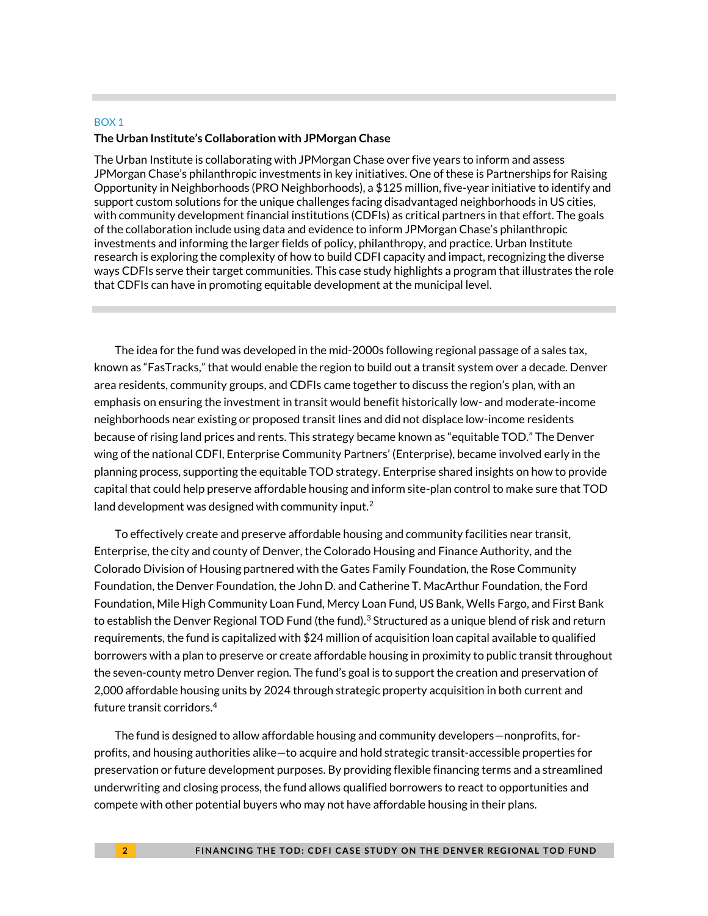#### BOX 1

#### **The Urban Institute's Collaboration with JPMorgan Chase**

The Urban Institute is collaborating with JPMorgan Chase over five years to inform and assess JPMorgan Chase's philanthropic investments in key initiatives. One of these is Partnerships for Raising Opportunity in Neighborhoods (PRO Neighborhoods), a \$125 million, five-year initiative to identify and support custom solutions for the unique challenges facing disadvantaged neighborhoods in US cities, with community development financial institutions (CDFIs) as critical partners in that effort. The goals of the collaboration include using data and evidence to inform JPMorgan Chase's philanthropic investments and informing the larger fields of policy, philanthropy, and practice. Urban Institute research is exploring the complexity of how to build CDFI capacity and impact, recognizing the diverse ways CDFIs serve their target communities. This case study highlights a program that illustrates the role that CDFIs can have in promoting equitable development at the municipal level.

The idea for the fund was developed in the mid-2000s following regional passage of a sales tax, known as "FasTracks," that would enable the region to build out a transit system over a decade. Denver area residents, community groups, and CDFIs came together to discuss the region's plan, with an emphasis on ensuring the investment in transit would benefit historically low- and moderate-income neighborhoods near existing or proposed transit lines and did not displace low-income residents because of rising land prices and rents. This strategy became known as "equitable TOD." The Denver wing of the national CDFI, Enterprise Community Partners' (Enterprise), became involved early in the planning process, supporting the equitable TOD strategy. Enterprise shared insights on how to provide capital that could help preserve affordable housing and inform site-plan control to make sure that TOD land development was designed with community input. $2$ 

To effectively create and preserve affordable housing and community facilities near transit, Enterprise, the city and county of Denver, the Colorado Housing and Finance Authority, and the Colorado Division of Housing partnered with the Gates Family Foundation, the Rose Community Foundation, the Denver Foundation, the John D. and Catherine T. MacArthur Foundation, the Ford Foundation, Mile High Community Loan Fund, Mercy Loan Fund, US Bank, Wells Fargo, and First Bank to establish the Denver Regional TOD Fund (the fund).<sup>3</sup> Structured as a unique blend of risk and return requirements, the fund is capitalized with \$24 million of acquisition loan capital available to qualified borrowers with a plan to preserve or create affordable housing in proximity to public transit throughout the seven-county metro Denver region. The fund's goal is to support the creation and preservation of 2,000 affordable housing units by 2024 through strategic property acquisition in both current and future transit corridors.<sup>4</sup>

The fund is designed to allow affordable housing and community developers—nonprofits, forprofits, and housing authorities alike—to acquire and hold strategic transit-accessible properties for preservation or future development purposes. By providing flexible financing terms and a streamlined underwriting and closing process, the fund allows qualified borrowers to react to opportunities and compete with other potential buyers who may not have affordable housing in their plans.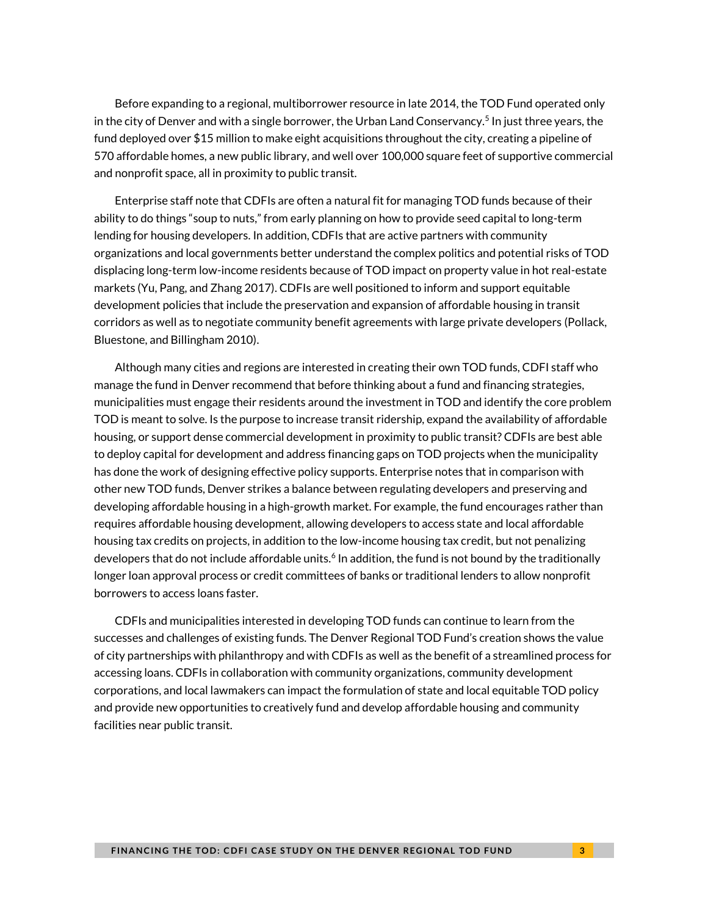Before expanding to a regional, multiborrower resource in late 2014, the TOD Fund operated only in the city of Denver and with a single borrower, the Urban Land Conservancy.<sup>5</sup> In just three years, the fund deployed over \$15 million to make eight acquisitions throughout the city, creating a pipeline of 570 affordable homes, a new public library, and well over 100,000 square feet of supportive commercial and nonprofit space, all in proximity to public transit.

Enterprise staff note that CDFIs are often a natural fit for managing TOD funds because of their ability to do things "soup to nuts," from early planning on how to provide seed capital to long-term lending for housing developers. In addition, CDFIs that are active partners with community organizations and local governments better understand the complex politics and potential risks of TOD displacing long-term low-income residents because of TOD impact on property value in hot real-estate markets (Yu, Pang, and Zhang 2017). CDFIs are well positioned to inform and support equitable development policies that include the preservation and expansion of affordable housing in transit corridors as well as to negotiate community benefit agreements with large private developers (Pollack, Bluestone, and Billingham 2010).

Although many cities and regions are interested in creating their own TOD funds, CDFI staff who manage the fund in Denver recommend that before thinking about a fund and financing strategies, municipalities must engage their residents around the investment in TOD and identify the core problem TOD is meant to solve. Is the purpose to increase transit ridership, expand the availability of affordable housing, or support dense commercial development in proximity to public transit? CDFIs are best able to deploy capital for development and address financing gaps on TOD projects when the municipality has done the work of designing effective policy supports. Enterprise notes that in comparison with other new TOD funds, Denver strikes a balance between regulating developers and preserving and developing affordable housing in a high-growth market. For example, the fund encourages rather than requires affordable housing development, allowing developers to access state and local affordable housing tax credits on projects, in addition to the low-income housing tax credit, but not penalizing developers that do not include affordable units.<sup>6</sup> In addition, the fund is not bound by the traditionally longer loan approval process or credit committees of banks or traditional lenders to allow nonprofit borrowers to access loans faster.

CDFIs and municipalities interested in developing TOD funds can continue to learn from the successes and challenges of existing funds. The Denver Regional TOD Fund's creation shows the value of city partnerships with philanthropy and with CDFIs as well as the benefit of a streamlined process for accessing loans. CDFIs in collaboration with community organizations, community development corporations, and local lawmakers can impact the formulation of state and local equitable TOD policy and provide new opportunities to creatively fund and develop affordable housing and community facilities near public transit.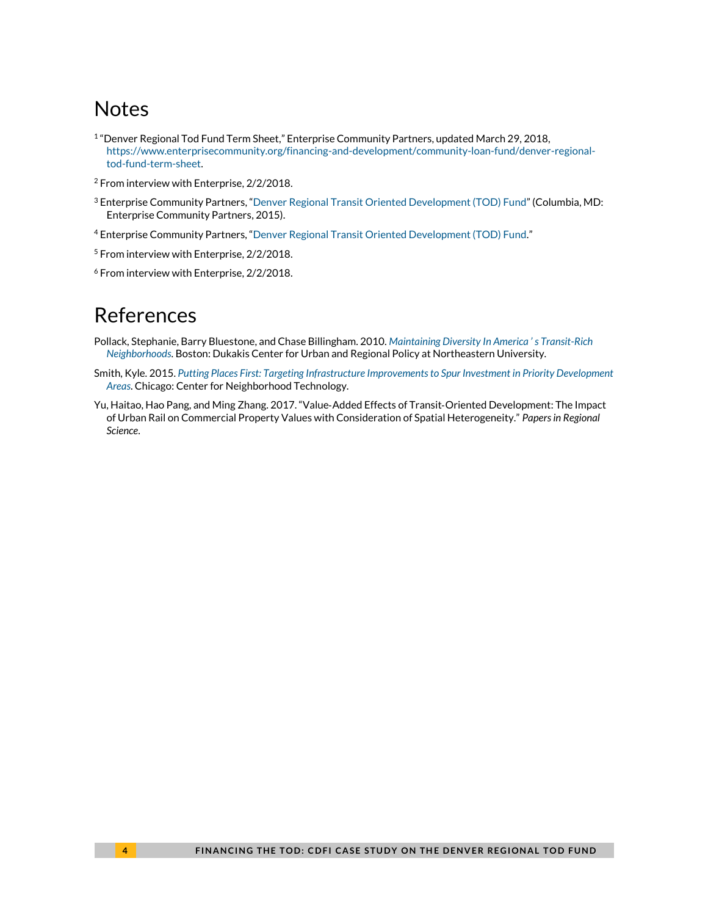# **Notes**

- 1 "Denver Regional Tod Fund Term Sheet," Enterprise Community Partners, updated March 29, 2018, [https://www.enterprisecommunity.org/financing-and-development/community-loan-fund/denver-regional](https://www.enterprisecommunity.org/financing-and-development/community-loan-fund/denver-regional-tod-fund-term-sheet)[tod-fund-term-sheet.](https://www.enterprisecommunity.org/financing-and-development/community-loan-fund/denver-regional-tod-fund-term-sheet)
- <sup>2</sup> From interview with Enterprise, 2/2/2018.
- <sup>3</sup> Enterprise Community Partners, "Denver Regional Transit [Oriented Development \(TOD\) Fund](https://www.enterprisecommunity.org/sites/default/files/regional-tod-fund-feb-2015.pdf)" (Columbia, MD: Enterprise Community Partners, 2015).
- <sup>4</sup> Enterprise Community Partners, "[Denver Regional Transit Oriented Development \(TOD\) Fund](https://www.enterprisecommunity.org/sites/default/files/regional-tod-fund-feb-2015.pdf)."
- <sup>5</sup> From interview with Enterprise, 2/2/2018.
- <sup>6</sup> From interview with Enterprise, 2/2/2018.

### References

- Pollack, Stephanie, Barry Bluestone, and Chase Billingham. 2010. *[Maintaining Diversity I](http://www.northeastern.edu/dukakiscenter/wp-content/uploads/2011/12/TRN_Equity_final.pdf)n America ' s Transit-Rich [Neighborhoods](http://www.northeastern.edu/dukakiscenter/wp-content/uploads/2011/12/TRN_Equity_final.pdf)*. Boston: Dukakis Center for Urban and Regional Policy at Northeastern University.
- Smith, Kyle. 2015. *Putting Places First: Targeting [Infrastructure Improvements to Spur Investment](http://www.cnt.org/sites/default/files/publications/CNT_PuttingPlacesFirst.pdf) in Priority Development [Areas](http://www.cnt.org/sites/default/files/publications/CNT_PuttingPlacesFirst.pdf)*. Chicago: Center for Neighborhood Technology.
- Yu, Haitao, Hao Pang, and Ming Zhang. 2017. "Value‐Added Effects of Transit‐Oriented Development: The Impact of Urban Rail on Commercial Property Values with Consideration of Spatial Heterogeneity." *Papers in Regional Science*.